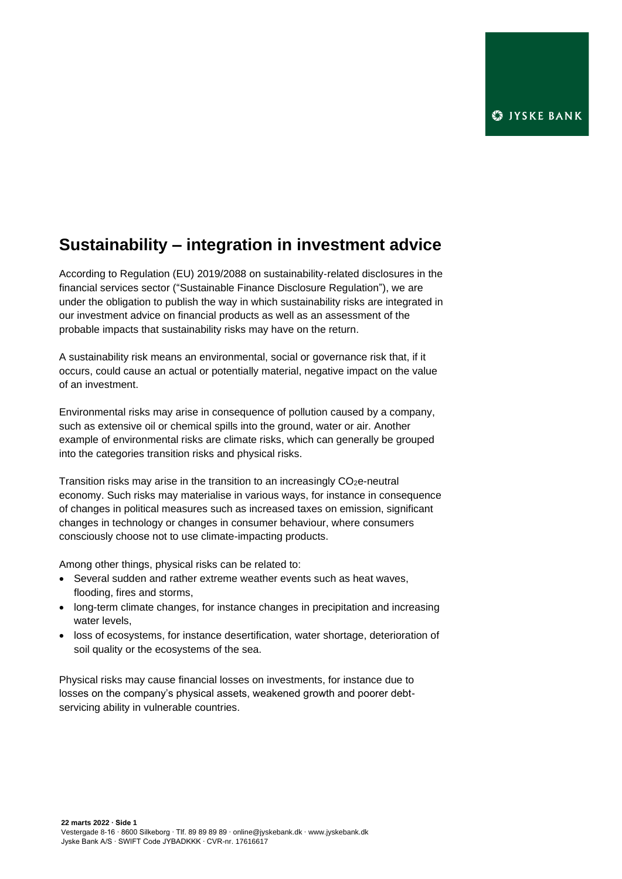## **Sustainability – integration in investment advice**

According to Regulation (EU) 2019/2088 on sustainability‐related disclosures in the financial services sector ("Sustainable Finance Disclosure Regulation"), we are under the obligation to publish the way in which sustainability risks are integrated in our investment advice on financial products as well as an assessment of the probable impacts that sustainability risks may have on the return.

A sustainability risk means an environmental, social or governance risk that, if it occurs, could cause an actual or potentially material, negative impact on the value of an investment.

Environmental risks may arise in consequence of pollution caused by a company, such as extensive oil or chemical spills into the ground, water or air. Another example of environmental risks are climate risks, which can generally be grouped into the categories transition risks and physical risks.

Transition risks may arise in the transition to an increasingly  $CO<sub>2</sub>e$ -neutral economy. Such risks may materialise in various ways, for instance in consequence of changes in political measures such as increased taxes on emission, significant changes in technology or changes in consumer behaviour, where consumers consciously choose not to use climate-impacting products.

Among other things, physical risks can be related to:

- Several sudden and rather extreme weather events such as heat waves, flooding, fires and storms,
- long-term climate changes, for instance changes in precipitation and increasing water levels,
- loss of ecosystems, for instance desertification, water shortage, deterioration of soil quality or the ecosystems of the sea.

Physical risks may cause financial losses on investments, for instance due to losses on the company's physical assets, weakened growth and poorer debtservicing ability in vulnerable countries.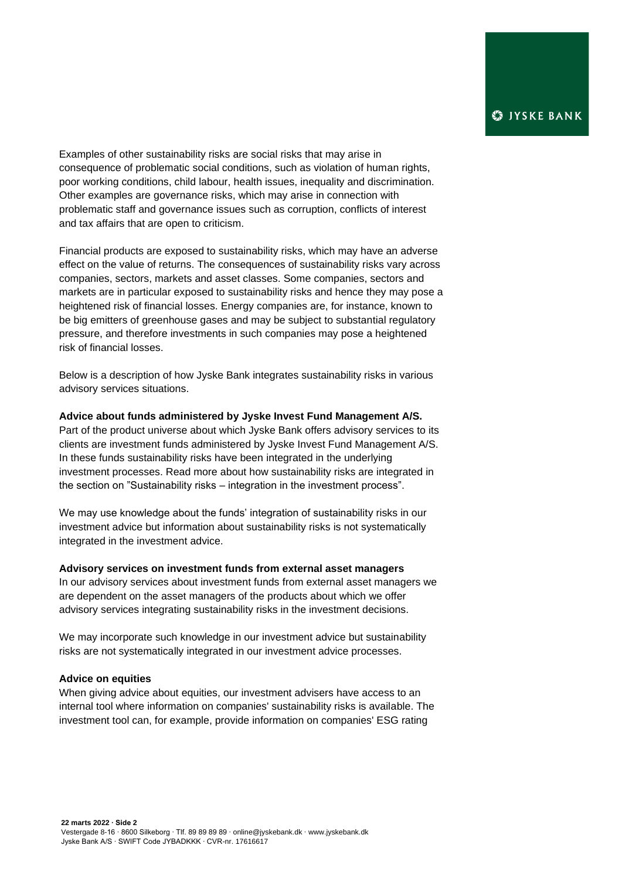Examples of other sustainability risks are social risks that may arise in consequence of problematic social conditions, such as violation of human rights, poor working conditions, child labour, health issues, inequality and discrimination. Other examples are governance risks, which may arise in connection with problematic staff and governance issues such as corruption, conflicts of interest and tax affairs that are open to criticism.

Financial products are exposed to sustainability risks, which may have an adverse effect on the value of returns. The consequences of sustainability risks vary across companies, sectors, markets and asset classes. Some companies, sectors and markets are in particular exposed to sustainability risks and hence they may pose a heightened risk of financial losses. Energy companies are, for instance, known to be big emitters of greenhouse gases and may be subject to substantial regulatory pressure, and therefore investments in such companies may pose a heightened risk of financial losses.

Below is a description of how Jyske Bank integrates sustainability risks in various advisory services situations.

## **Advice about funds administered by Jyske Invest Fund Management A/S.**

Part of the product universe about which Jyske Bank offers advisory services to its clients are investment funds administered by Jyske Invest Fund Management A/S. In these funds sustainability risks have been integrated in the underlying investment processes. Read more about how sustainability risks are integrated in the section on "Sustainability risks – integration in the investment process".

We may use knowledge about the funds' integration of sustainability risks in our investment advice but information about sustainability risks is not systematically integrated in the investment advice.

## **Advisory services on investment funds from external asset managers**

In our advisory services about investment funds from external asset managers we are dependent on the asset managers of the products about which we offer advisory services integrating sustainability risks in the investment decisions.

We may incorporate such knowledge in our investment advice but sustainability risks are not systematically integrated in our investment advice processes.

## **Advice on equities**

When giving advice about equities, our investment advisers have access to an internal tool where information on companies' sustainability risks is available. The investment tool can, for example, provide information on companies' ESG rating